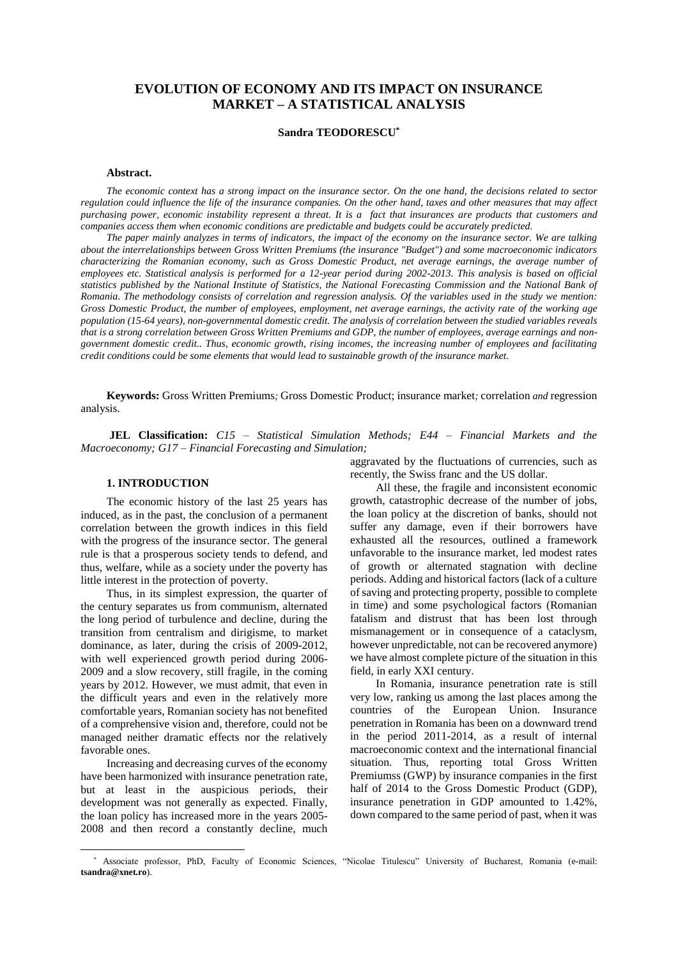# **EVOLUTION OF ECONOMY AND ITS IMPACT ON INSURANCE MARKET – A STATISTICAL ANALYSIS**

# **Sandra TEODORESCU\***

#### **Abstract.**

*The economic context has a strong impact on the insurance sector. On the one hand, the decisions related to sector regulation could influence the life of the insurance companies. On the other hand, taxes and other measures that may affect purchasing power, economic instability represent a threat. It is a fact that insurances are products that customers and companies access them when economic conditions are predictable and budgets could be accurately predicted.*

*The paper mainly analyzes in terms of indicators, the impact of the economy on the insurance sector. We are talking about the interrelationships between Gross Written Premiums (the insurance "Budget") and some macroeconomic indicators characterizing the Romanian economy, such as Gross Domestic Product, net average earnings, the average number of employees etc. Statistical analysis is performed for a 12-year period during 2002-2013. This analysis is based on official statistics published by the National Institute of Statistics, the National Forecasting Commission and the National Bank of Romania. The methodology consists of correlation and regression analysis. Of the variables used in the study we mention: Gross Domestic Product, the number of employees, employment, net average earnings, the activity rate of the working age population (15-64 years), non-governmental domestic credit. The analysis of correlation between the studied variables reveals that is a strong correlation between Gross Written Premiums and GDP, the number of employees, average earnings and nongovernment domestic credit.. Thus, economic growth, rising incomes, the increasing number of employees and facilitating credit conditions could be some elements that would lead to sustainable growth of the insurance market.*

**Keywords:** Gross Written Premiums*;* Gross Domestic Product; insurance market*;* correlation *and* regression analysis.

**JEL Classification:** *C15 – Statistical Simulation Methods; E44 – Financial Markets and the Macroeconomy; G17 – Financial Forecasting and Simulation;* 

# **1. INTRODUCTION\***

The economic history of the last 25 years has induced, as in the past, the conclusion of a permanent correlation between the growth indices in this field with the progress of the insurance sector. The general rule is that a prosperous society tends to defend, and thus, welfare, while as a society under the poverty has little interest in the protection of poverty.

Thus, in its simplest expression, the quarter of the century separates us from communism, alternated the long period of turbulence and decline, during the transition from centralism and dirigisme, to market dominance, as later, during the crisis of 2009-2012, with well experienced growth period during 2006- 2009 and a slow recovery, still fragile, in the coming years by 2012. However, we must admit, that even in the difficult years and even in the relatively more comfortable years, Romanian society has not benefited of a comprehensive vision and, therefore, could not be managed neither dramatic effects nor the relatively favorable ones.

Increasing and decreasing curves of the economy have been harmonized with insurance penetration rate, but at least in the auspicious periods, their development was not generally as expected. Finally, the loan policy has increased more in the years 2005- 2008 and then record a constantly decline, much

 $\overline{a}$ 

aggravated by the fluctuations of currencies, such as recently, the Swiss franc and the US dollar.

All these, the fragile and inconsistent economic growth, catastrophic decrease of the number of jobs, the loan policy at the discretion of banks, should not suffer any damage, even if their borrowers have exhausted all the resources, outlined a framework unfavorable to the insurance market, led modest rates of growth or alternated stagnation with decline periods. Adding and historical factors (lack of a culture of saving and protecting property, possible to complete in time) and some psychological factors (Romanian fatalism and distrust that has been lost through mismanagement or in consequence of a cataclysm, however unpredictable, not can be recovered anymore) we have almost complete picture of the situation in this field, in early XXI century.

In Romania, insurance penetration rate is still very low, ranking us among the last places among the countries of the European Union. Insurance penetration in Romania has been on a downward trend in the period 2011-2014, as a result of internal macroeconomic context and the international financial situation. Thus, reporting total Gross Written Premiumss (GWP) by insurance companies in the first half of 2014 to the Gross Domestic Product (GDP), insurance penetration in GDP amounted to 1.42%, down compared to the same period of past, when it was

<sup>\*</sup> Associate professor, PhD, Faculty of Economic Sciences, "Nicolae Titulescu" University of Bucharest, Romania (e-mail: **tsandra@xnet.ro**).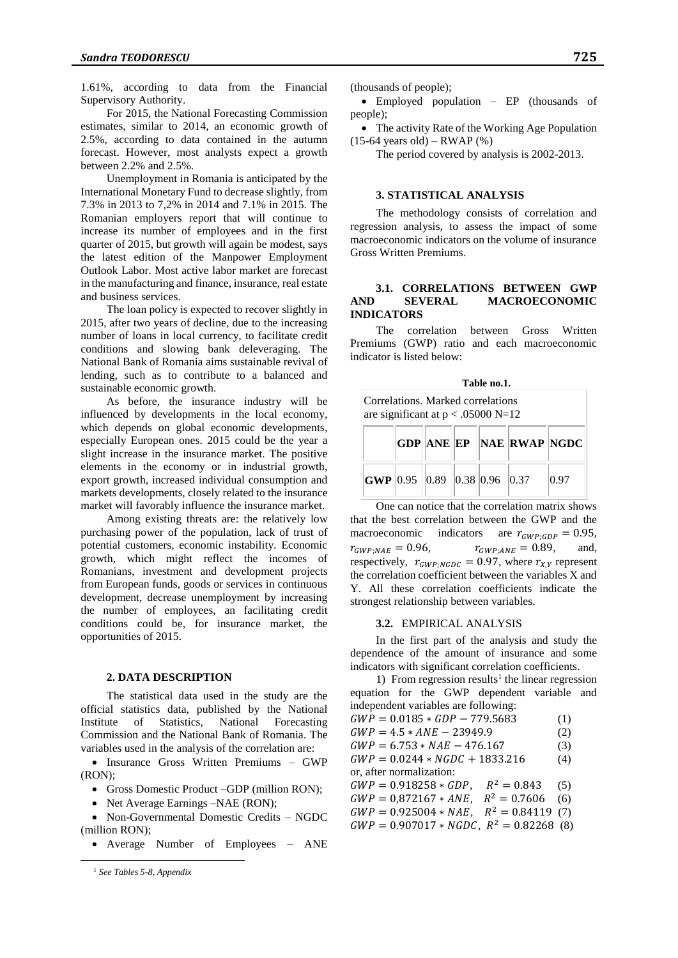1.61%, according to data from the Financial Supervisory Authority.

For 2015, the National Forecasting Commission estimates, similar to 2014, an economic growth of 2.5%, according to data contained in the autumn forecast. However, most analysts expect a growth between 2.2% and 2.5%.

Unemployment in Romania is anticipated by the International Monetary Fund to decrease slightly, from 7.3% in 2013 to 7,2% in 2014 and 7.1% in 2015. The Romanian employers report that will continue to increase its number of employees and in the first quarter of 2015, but growth will again be modest, says the latest edition of the Manpower Employment Outlook Labor. Most active labor market are forecast in the manufacturing and finance, insurance, real estate and business services.

The loan policy is expected to recover slightly in 2015, after two years of decline, due to the increasing number of loans in local currency, to facilitate credit conditions and slowing bank deleveraging. The National Bank of Romania aims sustainable revival of lending, such as to contribute to a balanced and sustainable economic growth.

As before, the insurance industry will be influenced by developments in the local economy, which depends on global economic developments, especially European ones. 2015 could be the year a slight increase in the insurance market. The positive elements in the economy or in industrial growth, export growth, increased individual consumption and markets developments, closely related to the insurance market will favorably influence the insurance market.

Among existing threats are: the relatively low purchasing power of the population, lack of trust of potential customers, economic instability. Economic growth, which might reflect the incomes of Romanians, investment and development projects from European funds, goods or services in continuous development, decrease unemployment by increasing the number of employees, an facilitating credit conditions could be, for insurance market, the opportunities of 2015.

#### **2. DATA DESCRIPTION**

The statistical data used in the study are the official statistics data, published by the National Institute of Statistics, National Forecasting Commission and the National Bank of Romania. The variables used in the analysis of the correlation are:

• Insurance Gross Written Premiums – GWP (RON);

- Gross Domestic Product –GDP (million RON);
- Net Average Earnings –NAE (RON);

• Non-Governmental Domestic Credits – NGDC (million RON);

Average Number of Employees – ANE

 $\overline{a}$ 

(thousands of people);

 Employed population – EP (thousands of people);

• The activity Rate of the Working Age Population  $(15-64 \text{ years old}) - RWAP$  (%)

The period covered by analysis is 2002-2013.

# **3. STATISTICAL ANALYSIS**

The methodology consists of correlation and regression analysis, to assess the impact of some macroeconomic indicators on the volume of insurance Gross Written Premiums.

#### **3.1. CORRELATIONS BETWEEN GWP AND SEVERAL MACROECONOMIC INDICATORS**

The correlation between Gross Written Premiums (GWP) ratio and each macroeconomic indicator is listed below:

| Table no.1.<br>Correlations. Marked correlations<br>are significant at $p < .05000$ N=12 |  |  |  |  |                          |      |  |
|------------------------------------------------------------------------------------------|--|--|--|--|--------------------------|------|--|
|                                                                                          |  |  |  |  | GDP ANE EP NAE RWAP NGDC |      |  |
| GWP 0.95 0.89 0.38 0.96 0.37                                                             |  |  |  |  |                          | 0.97 |  |

One can notice that the correlation matrix shows that the best correlation between the GWP and the macroeconomic indicators are  $r_{GWP;GDP} = 0.95$ ,  $r_{GWP:NAE} = 0.96$ ,  $r_{GWP:ANE} = 0.89$ , and, respectively,  $r_{GWP:NGDC} = 0.97$ , where  $r_{X,Y}$  represent the correlation coefficient between the variables X and Y. All these correlation coefficients indicate the strongest relationship between variables.

#### **3.2.** EMPIRICAL ANALYSIS

In the first part of the analysis and study the dependence of the amount of insurance and some indicators with significant correlation coefficients.

1) From regression results<sup>1</sup> the linear regression equation for the GWP dependent variable and independent variables are following:

| $GWP = 0.0185 * GDP - 779.5683$               | (1) |
|-----------------------------------------------|-----|
| $GWP = 4.5 * ANE - 23949.9$                   | (2) |
| $GWP = 6.753 * NAE - 476.167$                 | (3) |
| $GWP = 0.0244 * NGDC + 1833.216$              | (4) |
| or, after normalization:                      |     |
| $R^2 = 0.843$<br>$GWP = 0.918258 * GDP,$      | (5) |
| $GWP = 0.872167 * ANE$ , $R^2 = 0.7606$       | (6) |
| $R^2 = 0.84119$<br>$GWP = 0.925004 * NAE$ ,   | (7) |
| $GWP = 0.907017 * NGDC$ , $R^2 = 0.82268$ (8) |     |

<sup>1</sup> *See Tables 5-8, Appendix*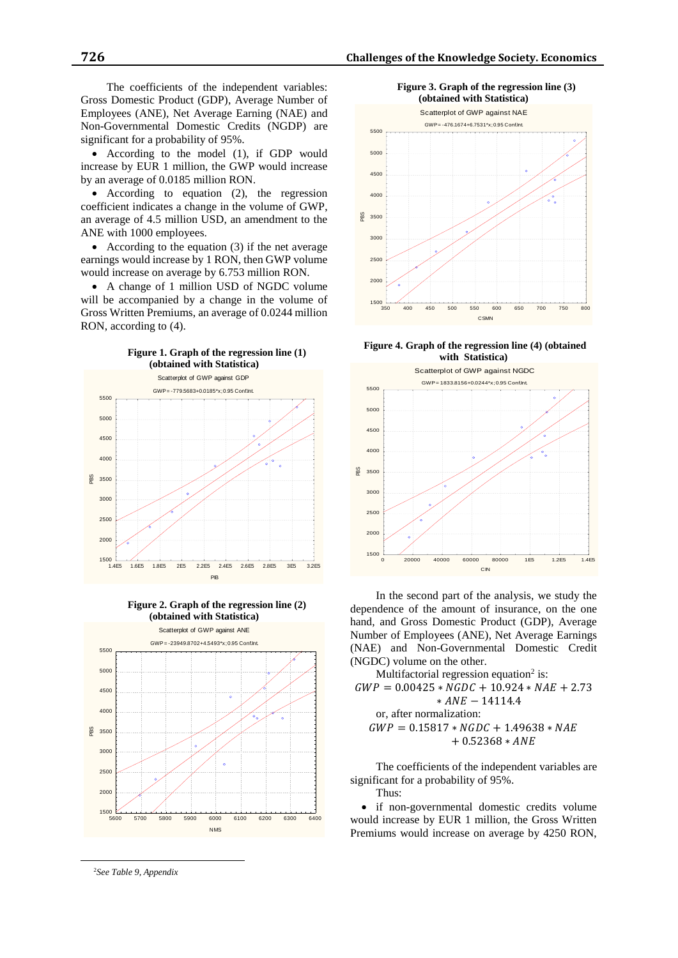The coefficients of the independent variables: Gross Domestic Product (GDP), Average Number of Employees (ANE), Net Average Earning (NAE) and Non-Governmental Domestic Credits (NGDP) are significant for a probability of 95%.

 According to the model (1), if GDP would increase by EUR 1 million, the GWP would increase by an average of 0.0185 million RON.

• According to equation (2), the regression coefficient indicates a change in the volume of GWP, an average of 4.5 million USD, an amendment to the ANE with 1000 employees.

 According to the equation (3) if the net average earnings would increase by 1 RON, then GWP volume would increase on average by 6.753 million RON.

 A change of 1 million USD of NGDC volume will be accompanied by a change in the volume of Gross Written Premiums, an average of 0.0244 million RON, according to (4).



**Figure 2. Graph of the regression line (2) (obtained with Statistica)**



<sup>2</sup>*See Table 9, Appendix*

 $\overline{a}$ 



**Figure 4. Graph of the regression line (4) (obtained with Statistica)**



In the second part of the analysis, we study the dependence of the amount of insurance, on the one hand, and Gross Domestic Product (GDP), Average Number of Employees (ANE), Net Average Earnings (NAE) and Non-Governmental Domestic Credit (NGDC) volume on the other.

Multifactorial regression equation<sup>2</sup> is:  $GWP = 0.00425 * NGDC + 10.924 * NAE + 2.73$  $* ANE - 14114.4$ or, after normalization:  $GWP = 0.15817 * NGDC + 1.49638 * NAE$ + 0.52368 ∗

The coefficients of the independent variables are significant for a probability of 95%. Thus:

 if non-governmental domestic credits volume would increase by EUR 1 million, the Gross Written Premiums would increase on average by 4250 RON,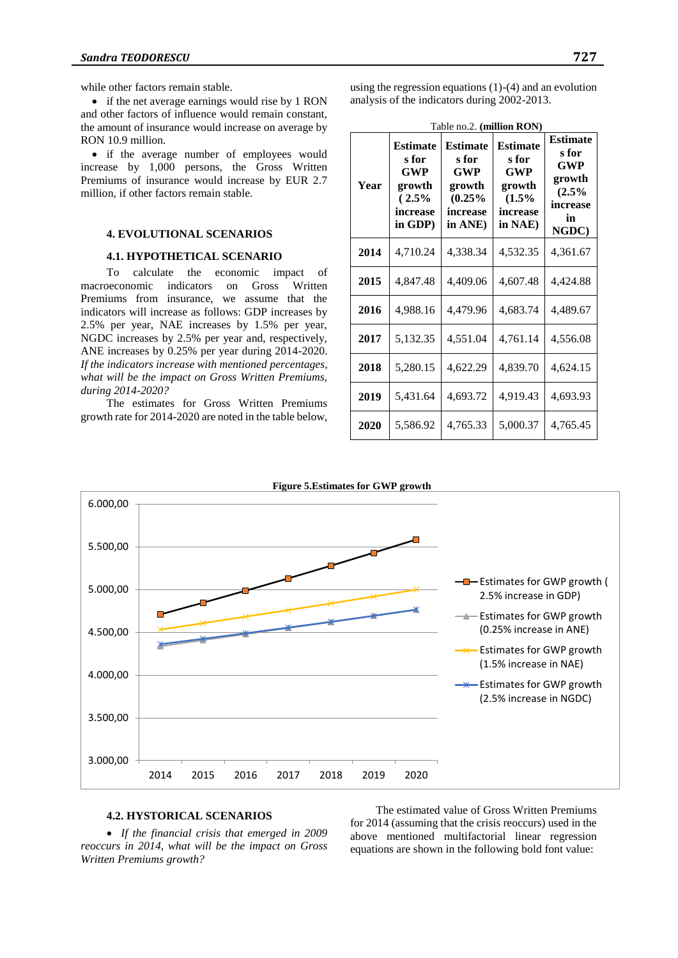while other factors remain stable.

• if the net average earnings would rise by 1 RON and other factors of influence would remain constant, the amount of insurance would increase on average by RON 10.9 million.

 if the average number of employees would increase by 1,000 persons, the Gross Written Premiums of insurance would increase by EUR 2.7 million, if other factors remain stable.

# **4. EVOLUTIONAL SCENARIOS**

#### **4.1. HYPOTHETICAL SCENARIO**

To calculate the economic impact of macroeconomic indicators on Gross Written Premiums from insurance, we assume that the indicators will increase as follows: GDP increases by 2.5% per year, NAE increases by 1.5% per year, NGDC increases by 2.5% per year and, respectively, ANE increases by 0.25% per year during 2014-2020. *If the indicators increase with mentioned percentages, what will be the impact on Gross Written Premiums, during 2014-2020?*

The estimates for Gross Written Premiums growth rate for 2014-2020 are noted in the table below,

using the regression equations (1)-(4) and an evolution analysis of the indicators during 2002-2013.

| Year | <b>Estimate</b><br>s for<br>GWP<br>growth<br>(2.5%<br>increase<br>in GDP) | $14010$ $1022$ . ( <b>IMMON KO</b> <sub>1</sub><br><b>Estimate</b><br>s for<br>GWP<br>growth<br>(0.25%<br>increase<br>in ANE) | <b>Estimate</b><br>s for<br><b>GWP</b><br>growth<br>(1.5%<br>increase<br>in NAE) | <b>Estimate</b><br>s for<br>GWP<br>growth<br>(2.5%<br>increase<br>in<br>NGDC) |
|------|---------------------------------------------------------------------------|-------------------------------------------------------------------------------------------------------------------------------|----------------------------------------------------------------------------------|-------------------------------------------------------------------------------|
| 2014 | 4,710.24                                                                  | 4,338.34                                                                                                                      | 4,532.35                                                                         | 4,361.67                                                                      |
| 2015 | 4,847.48                                                                  | 4,409.06                                                                                                                      | 4,607.48                                                                         | 4,424.88                                                                      |
| 2016 | 4,988.16                                                                  | 4,479.96                                                                                                                      | 4,683.74                                                                         | 4,489.67                                                                      |
| 2017 | 5,132.35                                                                  | 4,551.04                                                                                                                      | 4,761.14                                                                         | 4,556.08                                                                      |
| 2018 | 5,280.15                                                                  | 4,622.29                                                                                                                      | 4,839.70                                                                         | 4,624.15                                                                      |
| 2019 | 5,431.64                                                                  | 4,693.72                                                                                                                      | 4,919.43                                                                         | 4,693.93                                                                      |
| 2020 | 5,586.92                                                                  | 4,765.33                                                                                                                      | 5,000.37                                                                         | 4,765.45                                                                      |

Table no.2. **(million RON)**



# **4.2. HYSTORICAL SCENARIOS**

 *If the financial crisis that emerged in 2009 reoccurs in 2014, what will be the impact on Gross Written Premiums growth?*

The estimated value of Gross Written Premiums for 2014 (assuming that the crisis reoccurs) used in the above mentioned multifactorial linear regression equations are shown in the following bold font value: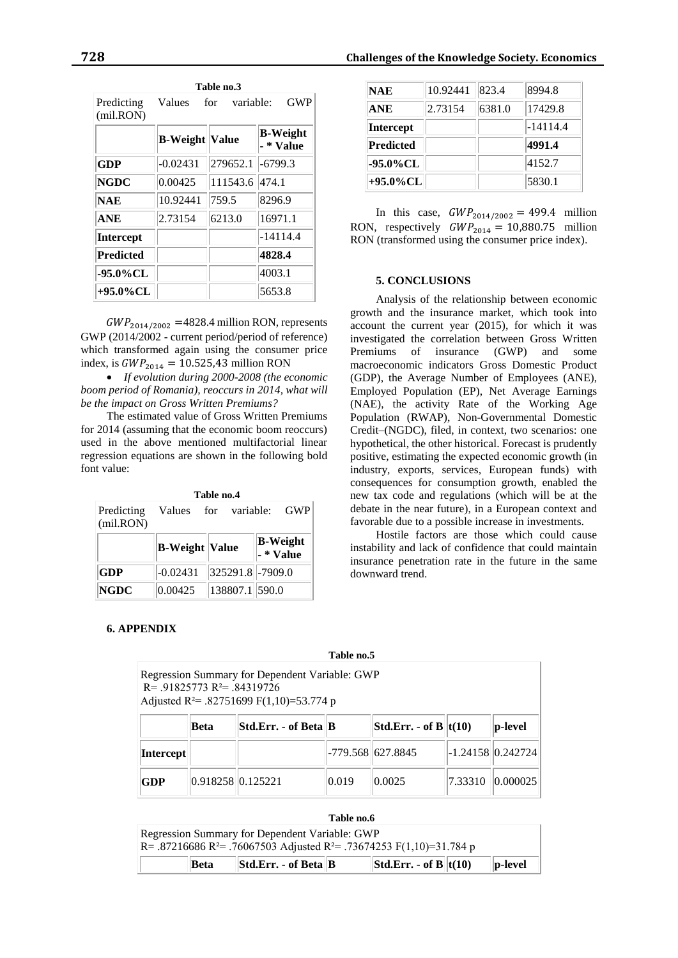| Predicting<br>(mil.RON) | Values                | for<br>variable: | <b>GWP</b>                   |
|-------------------------|-----------------------|------------------|------------------------------|
|                         | <b>B-Weight</b> Value |                  | <b>B-Weight</b><br>- * Value |
| <b>GDP</b>              | $-0.02431$            | 279652.1         | $-6799.3$                    |
| <b>NGDC</b>             | 0.00425               | 111543.6         | 474.1                        |
| <b>NAE</b>              | 10.92441              | 759.5            | 8296.9                       |
| <b>ANE</b>              | 2.73154               | 6213.0           | 16971.1                      |
| Intercept               |                       |                  | $-14114.4$                   |
| <b>Predicted</b>        |                       |                  | 4828.4                       |
| -95.0%CL                |                       |                  | 4003.1                       |
| +95.0%CL                |                       |                  | 5653.8                       |

|--|

 $GWP_{2014/2002}$  =4828.4 million RON, represents GWP (2014/2002 - current period/period of reference) which transformed again using the consumer price index, is  $GWP_{2014} = 10.525,43$  million RON

 *If evolution during 2000-2008 (the economic boom period of Romania), reoccurs in 2014, what will be the impact on Gross Written Premiums?*

The estimated value of Gross Written Premiums for 2014 (assuming that the economic boom reoccurs) used in the above mentioned multifactorial linear regression equations are shown in the following bold font value:

|                         | Table no.4            |                  |                              |
|-------------------------|-----------------------|------------------|------------------------------|
| Predicting<br>(mil.RON) | Values                | variable:<br>for | <b>GWP</b>                   |
|                         | <b>B-Weight Value</b> |                  | <b>B-Weight</b><br>- * Value |
| <b>GDP</b>              | $-0.02431$            | 325291.8 -7909.0 |                              |
| <b>NGDC</b>             | 0.00425               | 138807.1 590.0   |                              |

**Table no.4** 

# **NAE** 10.92441 823.4 8994.8 **ANE** 2.73154 6381.0 17429.8 **Intercept**  $\|$   $\|$  -14114.4 **Predicted 4991.4 -95.0%CL** 4152.7 **+95.0%CL** 5830.1

In this case,  $GWP_{2014/2002} = 499.4$  million RON, respectively  $GWP_{2014} = 10,880.75$  million RON (transformed using the consumer price index).

#### **5. CONCLUSIONS**

Analysis of the relationship between economic growth and the insurance market, which took into account the current year (2015), for which it was investigated the correlation between Gross Written Premiums of insurance (GWP) and some macroeconomic indicators Gross Domestic Product (GDP), the Average Number of Employees (ANE), Employed Population (EP), Net Average Earnings (NAE), the activity Rate of the Working Age Population (RWAP), Non-Governmental Domestic Credit–(NGDC), filed, in context, two scenarios: one hypothetical, the other historical. Forecast is prudently positive, estimating the expected economic growth (in industry, exports, services, European funds) with consequences for consumption growth, enabled the new tax code and regulations (which will be at the debate in the near future), in a European context and favorable due to a possible increase in investments.

Hostile factors are those which could cause instability and lack of confidence that could maintain insurance penetration rate in the future in the same downward trend.

# **6. APPENDIX**

# **Table no.5**

| Regression Summary for Dependent Variable: GWP<br>$R = 91825773 R^2 = 84319726$<br>Adjusted R <sup>2</sup> = .82751699 F(1,10)=53.774 p |                   |                      |                 |                           |                     |             |
|-----------------------------------------------------------------------------------------------------------------------------------------|-------------------|----------------------|-----------------|---------------------------|---------------------|-------------|
|                                                                                                                                         | Beta              | Std.Err. - of Beta B |                 | Std.Err. - of B $ t(10) $ |                     | $ p$ -level |
| Intercept                                                                                                                               |                   |                      |                 | -779.568 627.8845         | $-1.24158$ 0.242724 |             |
| GDP                                                                                                                                     | 0.918258 0.125221 |                      | $ 0.019\rangle$ | $ 0.0025\rangle$          | 7.33310             | 0.000025    |

|                                                                                               | Table no.6 |                      |  |                                                                     |  |         |  |
|-----------------------------------------------------------------------------------------------|------------|----------------------|--|---------------------------------------------------------------------|--|---------|--|
| Regression Summary for Dependent Variable: GWP                                                |            |                      |  |                                                                     |  |         |  |
| R = .87216686 R <sup>2</sup> = .76067503 Adjusted R <sup>2</sup> = .73674253 F(1,10)=31.784 p |            |                      |  |                                                                     |  |         |  |
|                                                                                               | Beta       | Std.Err. - of Beta B |  | $\left \mathbf{Std. Err. - of B}\right \left \mathbf{t(10)}\right $ |  | p-level |  |